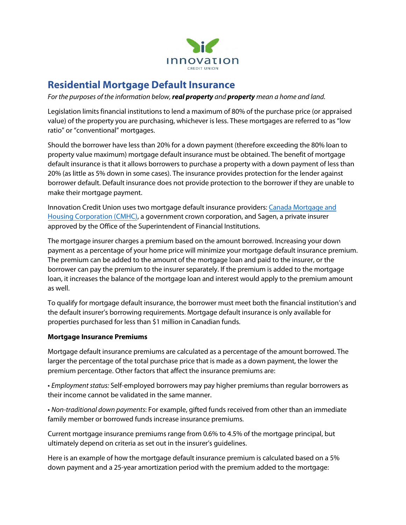

## **Residential Mortgage Default Insurance**

*For the purposes of the information below, real property and property mean a home and land.*

Legislation limits financial institutions to lend a maximum of 80% of the purchase price (or appraised value) of the property you are purchasing, whichever is less. These mortgages are referred to as "low ratio" or "conventional" mortgages.

Should the borrower have less than 20% for a down payment (therefore exceeding the 80% loan to property value maximum) mortgage default insurance must be obtained. The benefit of mortgage default insurance is that it allows borrowers to purchase a property with a down payment of less than 20% (as little as 5% down in some cases). The insurance provides protection for the lender against borrower default. Default insurance does not provide protection to the borrower if they are unable to make their mortgage payment.

Innovation Credit Union uses two mortgage default insurance providers: [Canada Mortgage and](http://www.cmhc.ca/) [Housing Corporation \(CMHC\),](http://www.cmhc.ca/) a government crown corporation, and [Sagen,](http://www.genworth.ca/) a private insurer approved by the Office of the Superintendent of Financial Institutions.

The mortgage insurer charges a premium based on the amount borrowed. Increasing your down payment as a percentage of your home price will minimize your mortgage default insurance premium. The premium can be added to the amount of the mortgage loan and paid to the insurer, or the borrower can pay the premium to the insurer separately. If the premium is added to the mortgage loan, it increases the balance of the mortgage loan and interest would apply to the premium amount as well.

To qualify for mortgage default insurance, the borrower must meet both the financial institution's and the default insurer's borrowing requirements. Mortgage default insurance is only available for properties purchased for less than \$1 million in Canadian funds.

## **Mortgage Insurance Premiums**

Mortgage default insurance premiums are calculated as a percentage of the amount borrowed. The larger the percentage of the total purchase price that is made as a down payment, the lower the premium percentage. Other factors that affect the insurance premiums are:

• *Employment status:* Self-employed borrowers may pay higher premiums than regular borrowers as their income cannot be validated in the same manner.

• *Non-traditional down payments*: For example, gifted funds received from other than an immediate family member or borrowed funds increase insurance premiums.

Current mortgage insurance premiums range from 0.6% to 4.5% of the mortgage principal, but ultimately depend on criteria as set out in the insurer's guidelines.

Here is an example of how the mortgage default insurance premium is calculated based on a 5% down payment and a 25-year amortization period with the premium added to the mortgage: